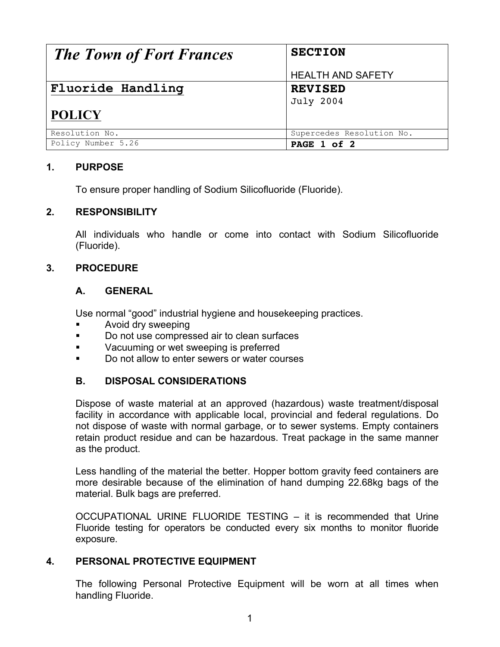| <b>The Town of Fort Frances</b>    | <b>SECTION</b>                     |
|------------------------------------|------------------------------------|
|                                    | <b>HEALTH AND SAFETY</b>           |
| Fluoride Handling<br><b>POLICY</b> | <b>REVISED</b><br><b>July 2004</b> |
|                                    |                                    |
| Resolution No.                     | Supercedes Resolution No.          |
| Policy Number 5.26                 | PAGE 1 of 2                        |

## **1. PURPOSE**

To ensure proper handling of Sodium Silicofluoride (Fluoride).

#### **2. RESPONSIBILITY**

All individuals who handle or come into contact with Sodium Silicofluoride (Fluoride).

## **3. PROCEDURE**

#### **A. GENERAL**

Use normal "good" industrial hygiene and housekeeping practices.

- **EXECUTE:** Avoid dry sweeping
- ! Do not use compressed air to clean surfaces
- **EXECUCITE IS Vacuuming or wet sweeping is preferred**
- **.** Do not allow to enter sewers or water courses

# **B. DISPOSAL CONSIDERATIONS**

Dispose of waste material at an approved (hazardous) waste treatment/disposal facility in accordance with applicable local, provincial and federal regulations. Do not dispose of waste with normal garbage, or to sewer systems. Empty containers retain product residue and can be hazardous. Treat package in the same manner as the product.

Less handling of the material the better. Hopper bottom gravity feed containers are more desirable because of the elimination of hand dumping 22.68kg bags of the material. Bulk bags are preferred.

OCCUPATIONAL URINE FLUORIDE TESTING – it is recommended that Urine Fluoride testing for operators be conducted every six months to monitor fluoride exposure.

#### **4. PERSONAL PROTECTIVE EQUIPMENT**

The following Personal Protective Equipment will be worn at all times when handling Fluoride.